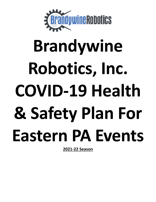

# **Brandywine Robotics, Inc. COVID-19 Health & Safety Plan For Eastern PA Events**

**2021-22 Season**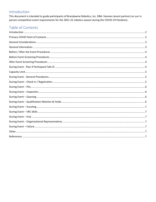# <span id="page-1-0"></span>Introduction

This document is intended to guide participants of Brandywine Robotics, Inc. DBA: Vexmen (event partner) on our in person competition event requirements for the 2021-22 robotics season during the COVID-19 Pandemic.

# Table of Contents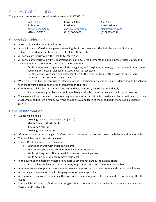# <span id="page-2-0"></span>Primary COVID Point of Contacts

The primary point of contact for all questions related to COVID-19.

Neil Johnson Chris Hallahan Ajai Nair Sr. Mentor **President** President **Vice President** [neil@vexmen.com](mailto:neil@vexmen.com) [chris@vexmen.com](mailto:chris@vexmen.com) [ajai@vexmen.com](mailto:ajai@vexmen.com) (610) 413-7272 (610) 368-8439 (610) 613-6734

#### <span id="page-2-1"></span>General Considerations

- Participation in this event is voluntary
- A participant is defined as any person attending this in person event. This includes and not limited to volunteers, students, mentors, judges, refs, RECF officials, etc.
- All participants must follow this Health & Safety Plan
- All participants must follow PA Department of Health, CDC requirements and guidelines, Chester County and Downingtown Area School District COVID-19 Requirements
	- o Ex: Adhere to hand hygiene, respiratory hygiene, and cough etiquette (e.g., cover nose and mouth when coughing or sneezing, dispose of tissues in waste receptacles).
	- $\circ$  Ex: Wash hands with soap and water for at least 20 seconds as frequently as possible or use hand sanitizer if soap and water are not available
- While there is still an inherent risk of infection for those participating, everyone in attendance should be actively working toward decreasing the risk of transmission to others
- Communicate all health and mental concerns with your parents / guardians immediately
	- $\circ$  If you parents / guardians are not immediately available, share your concerns with your mentors
- The events will be scheduled to ensure adequate time for all participants to arrive and leave on time and/or on a staggered schedule. As a result, everyone should arrive and leave at the scheduled time to avoid overlap in groups.

#### <span id="page-2-2"></span>General Information

- Events will be held at:
	- o Downingtown Area School District (DASD)
		- Marsh Creek 6<sup>th</sup> Grade Center
		- 395 Dorlan Mill Rd.
		- Downingtown, PA 19335
- After entering thru the main gym / cafeteria doors, restrooms are located down the hallway and to your right.
- There will be concessions at the event
- Food & Drinks are allowed at the event
	- o Cannot be shared with other participants
	- o Must stay in you pit area or designated volunteering area
	- o While drinking only, lift your mask to drink, no removing mask
	- o While eating only, you can remove your mask
- In the event of an emergency there are numerous emergency exits & fire extinguishers
	- $\circ$  First aid kits are located at the check in / registration and tournament manager tables
- Adult mentors and organization representatives are responsible for student safety and conduct at all times
- All participants are responsible for keeping areas as clean as possible
- All teams are responsible for keeping their pit area clean and organized for safety and easy repacking after the event
- There will be NO practice fields or practicing on skills or competition fields unless it's approved by the Event Partner and/or Head Ref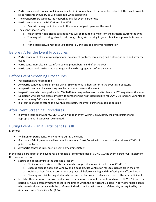- Participants should not carpool; if unavoidable, limit to members of the same household. If this is not possible all participants should try to use facemasks while carpooling
- The event partners WiFi secured network is only for event partner use
- Participants can use the DASD Guest Free Wifi
	- o Bandwidth may be limited due to the number of participants at the event
- The event space is large
	- o Wear comfortable closed toe shoes, you will be required to walk from the cafeteria to/from the gym
	- $\circ$  You may wish to bring a hand truck, dolly, robox, etc. to bring in your robot & equipment in from your car
	- o Plan accordingly, it may take you approx. 1-2 minutes to get to your destination

### <span id="page-3-0"></span>Before / After the Event Procedures

- Participants must clean individual personal equipment (laptops, cords, etc.) and clothing prior to and after the event.
- Participants must clean all team/shared equipment before and after the event
- Participants should arrive prepared to go and avoid congregating before an event

### <span id="page-3-1"></span>Before Event Screening Procedures

- Vaccinations are not required
- Any participant who is experiencing COVID-19 symptoms 48 hours prior to the event cannot attend
- Any participant who believes they may be sick cannot attend the event
- No participant who tests positive for COVID-19 (and any variants) on or after January 16<sup>th</sup> may attend this event
- No person who has had close contact with someone who has tested positive for COVID-19 (and any variants) on or after January 16<sup>th</sup> may attend this event.
- If a team is unable to attend the event, please notify the Event Partner as soon as possible

#### <span id="page-3-2"></span>After Event Screening Procedures

• If anyone tests positive for COVID-19 who was at an event within 5 days, notify the Event Partner and appropriate notification will be initiated

#### <span id="page-3-3"></span>During Event - Plan if Participant Falls Ill

#### Mentors:

- Will monitor participants for symptoms during the event
- If a student falls ill, mentors will communicate via call / text / email with parents and the primary COVID-19 point of contacts
- Any participant who is ill, must be sent home immediately

In the case a participant at the event has a probable or confirmed case of COVID-19, the event partner will implement the protocols below:

- Secure and decontaminate the affected areas by:
	- $\circ$  Closing off areas visited by the person who is a possible or confirmed case of COVID-19
	- $\circ$  Opening outside doors and window and if possible, use ventilation fans to circulate are in the area
	- $\circ$  Waiting at least 24 hours, or as long as practical, before cleaning and disinfecting the affected area
	- o Cleaning and disinfecting all shared areas such as bathrooms, tables, etc. used by the sick participant
- Identify others who were in close contact with a person with probable or confirmed case of COVID-19 from the period 48 hours before symptom onset to the time at which the participant isolated. Notify other participants who were in close contact with the confirmed individual while maintaining confidentiality as required by the Americans with Disabilities Act (ADA).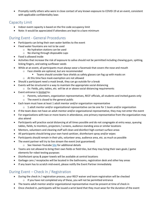• Promptly notify others who were in close contact of any known exposure to COVID-19 at an event, consistent with applicable confidentiality laws

#### <span id="page-4-0"></span>Capacity Limit

- Indoor event capacity is based on the fire code occupancy limit
- Note: It would be appreciated if attendees are kept to a bare minimum

#### <span id="page-4-1"></span>During Event - General Procedures

- Participants can bring their own water bottles to the event
- Fixed water fountains are not to be used
	- o No hydration stations can be used
		- o No sharing through disposable cups
- Food is allowed inside
- Activities that increase the risk of exposure to saliva should not be permitted including chewing gum, spitting, licking fingers, and eating sunflower seeds
- While at an event, all participants must always wear a facemask that covers the nose and mouth
	- o Face shields are optional, but are recommended
		- **EXEC** Teams should consider face shields as safety glasses can fog up with masks on
	- o At this time face mask exemption are not allowed
- Should a participant need a mask break, they can go outside for a break
- Events will be structured in a way to maintain the appropriate social distancing
	- $\circ$  Ex: Fields, pits, tables, etc. will be at or above social distancing requirements
- Event entrance is limited to:
	- o Parents, volunteers, organization representatives, RECF officials, all students and invited guests only
	- o The event is closed to the general public
- Each team must have at least 1 adult mentor and/or organization representative
	- $\circ$  1 adult mentor and/or organizational representative can be one for 1 team and/or organization
- If the team does not have an adult mentor and/or organizational representative, they may not enter the event
- For organizations with two or more teams in attendance, one primary representative from the organization may also attend
- Participants will practice social distancing at all times possible and do not congregate at entry ways, queuing tables, fields, tv monitors, projectors / screens, audience standing area or similar locations
- Mentors, volunteers and cleaning staff will clean and disinfect high-contact surface areas
- All participants should bring your own hand sanitizer, disinfectant spray and/or wipes
- Participants should remain in their pits, volunteer area, audience area, etc. as much as possible
- The event partner will try to live stream the event (not guaranteed)
	- o See Vexmen Youtube [Site](file:///G:/Shared%20drives/VEXMEN/Events/2021-22%20Season/o%09https:/www.youtube.com/channel/UCCIevRvMRIDGE0Ib3unxi_g) for additional details
- Teams are not allowed to bring their own fields or field tiles, but they may bring their own goals / game elements for robot testing purposes
- Disinfectant spray & paper towels will be available at central locations
- Garbage cans / receptacles will be located in the bathrooms, registration desk and other key areas
- If any team has to scratch mid-event, please notify the Event Partner immediately

#### <span id="page-4-2"></span>During Event – Check In / Registration

- During the check in / registration process, your RECF waiver and team registration will be checked  $\circ$  If you have not completed any of these, you will not be permitted entrance
- The teams adult mentor and/or organizational representative must be present at time of check in
- Once checked in, participants will be issued a wrist band that they must wear for the duration of the event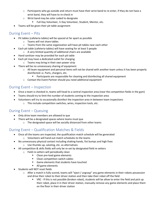- $\circ$  Participants who go outside and return must have their wrist band to re-enter, if they do not have a wrist band, they will have to re-check in
- o Wrist band may be color coded to designate
	- Full Day Volunteer, ½ Day Volunteer, Student, Mentor, etc.
- Teams will be given their pit table assignment

#### <span id="page-5-0"></span>During Event – Pits

- Pit tables (cafeteria tables) will be spaced at far apart as possible
	- o Teams will not share tables
	- o Teams from the same organization will have pit tables near each other
- Each pit table (cafeteria tables) will have seating for at least 5 people
	- o A very limited quantity of additional chairs are available
- Hand sanitizer may be provided for each pit table
- Each pit may have a dedicated outlet for charging
	- o Teams may bring in their own power strip
- There will be no unnecessary sharing of equipment
	- $\circ$  All team equipment and personal items will not be shared with another team unless it has been properly disinfected i.e. Parts, chargers, etc.
		- Participants are responsible for cleaning and disinfecting all shared equipment
	- o Contact the Event Partner should you need additional equipment

# <span id="page-5-1"></span>During Event – Inspection

- Once a team is checked in, teams will head to a central inspection area (near the competition fields in the gym)
- Teams should try to limit the number of students coming to the inspection area
- Volunteers will try to occasionally disinfect the inspection area in between team inspections
	- o This include competition switches, wires, inspection tools, etc.

# <span id="page-5-2"></span>During Event – Queuing

- Only drive team members are allowed to que
- There will be a designated spaces where teams must que
	- o The designated space will be socially distanced from other teams

# <span id="page-5-3"></span>During Event – Qualification Matches & Fields

- Once all the teams are inspected, the qualification match schedule will be generated o Volunteers will hand out match schedules to the teams
- No unnecessary physical contact including shaking hands, fist bumps and high fives
	- o Use thumbs up, saluting, etc. as alternatives
- All competition & skills fields will only be re-set by designated field re-setters
	- o Field re-setters will periodically clean
		- Clean pre-load game elements
		- Clean competition switch cables
		- Game elements that students have touched
		- All game elements
- Students will NOT reset fields
	- o After a match is fully scored, teams will "eject / ungrasp" any game elements in their robots possession and drive their robot to their driver station and then take their robot off the field
		- VRC If this is not possible (broken robot), students will be allow to enter the field and pick up their robot, place it in their driver station, manually remove any game elements and place them on the floor in their driver station